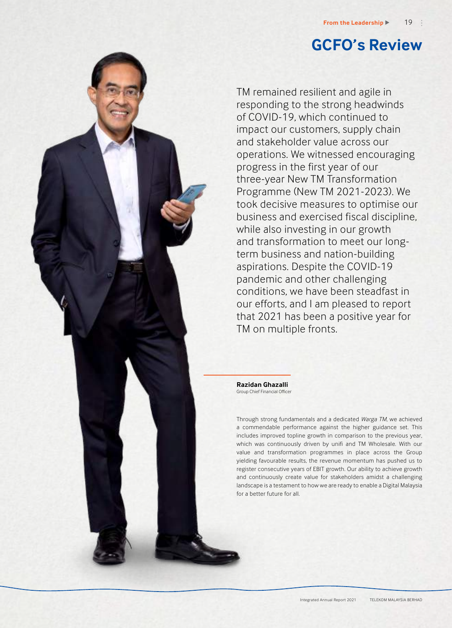# **GCFO's Review**

TM remained resilient and agile in responding to the strong headwinds of COVID-19, which continued to impact our customers, supply chain and stakeholder value across our operations. We witnessed encouraging progress in the first year of our three-year New TM Transformation Programme (New TM 2021-2023). We took decisive measures to optimise our business and exercised fiscal discipline, while also investing in our growth and transformation to meet our longterm business and nation-building aspirations. Despite the COVID-19 pandemic and other challenging conditions, we have been steadfast in our efforts, and I am pleased to report that 2021 has been a positive year for TM on multiple fronts.

**Razidan Ghazalli** Group Chief Financial Officer

Through strong fundamentals and a dedicated *Warga TM*, we achieved a commendable performance against the higher guidance set. This includes improved topline growth in comparison to the previous year, which was continuously driven by unifi and TM Wholesale. With our value and transformation programmes in place across the Group yielding favourable results, the revenue momentum has pushed us to register consecutive years of EBIT growth. Our ability to achieve growth and continuously create value for stakeholders amidst a challenging landscape is a testament to how we are ready to enable a Digital Malaysia for a better future for all.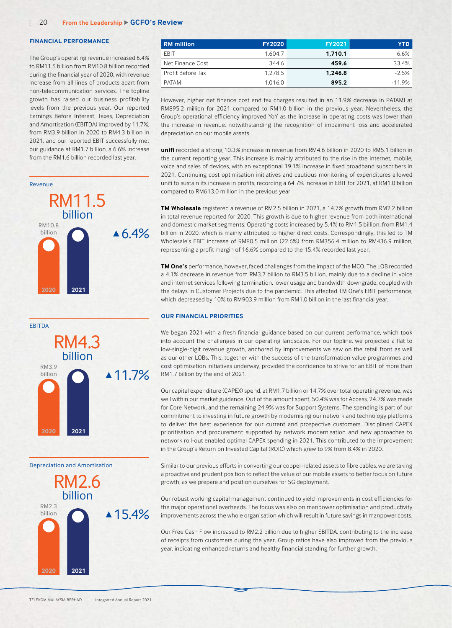#### **FINANCIAL PERFORMANCE**

The Group's operating revenue increased 6.4% to RM11.5 billion from RM10.8 billion recorded during the financial year of 2020, with revenue increase from all lines of products apart from non-telecommunication services. The topline growth has raised our business profitability levels from the previous year. Our reported Earnings Before Interest, Taxes, Depreciation and Amortisation (EBITDA) improved by 11.7%, from RM3.9 billion in 2020 to RM4.3 billion in 2021, and our reported EBIT successfully met our guidance at RM1.7 billion, a 6.6% increase from the RM1.6 billion recorded last year.





 $\triangle$  15.4% Depreciation and Amortisation RM2.6 billion RM2.3 billion **2021 2020**

| <b>RM</b> million        | <b>FY2020</b> | <b>FY2021</b> | YTD.     |
|--------------------------|---------------|---------------|----------|
| EBIT                     | 1.604.7       | 1.710.1       | 6.6%     |
| Net Finance Cost         | 344.6         | 459.6         | 33.4%    |
| <b>Profit Before Tax</b> | 1.278.5       | 1.246.8       | $-2.5%$  |
| PATAMI                   | 1.016.0       | 895.2         | $-11.9%$ |

However, higher net finance cost and tax charges resulted in an 11.9% decrease in PATAMI at RM895.2 million for 2021 compared to RM1.0 billion in the previous year. Nevertheless, the Group's operational efficiency improved YoY as the increase in operating costs was lower than the increase in revenue, notwithstanding the recognition of impairment loss and accelerated depreciation on our mobile assets.

**unifi** recorded a strong 10.3% increase in revenue from RM4.6 billion in 2020 to RM5.1 billion in the current reporting year. This increase is mainly attributed to the rise in the internet, mobile, voice and sales of devices, with an exceptional 19.1% increase in fixed broadband subscribers in 2021. Continuing cost optimisation initiatives and cautious monitoring of expenditures allowed unifi to sustain its increase in profits, recording a 64.7% increase in EBIT for 2021, at RM1.0 billion compared to RM613.0 million in the previous year.

**TM Wholesale** registered a revenue of RM2.5 billion in 2021, a 14.7% growth from RM2.2 billion in total revenue reported for 2020. This growth is due to higher revenue from both international and domestic market segments. Operating costs increased by 5.4% to RM1.5 billion, from RM1.4 billion in 2020, which is mainly attributed to higher direct costs. Correspondingly, this led to TM Wholesale's EBIT increase of RM80.5 million (22.6%) from RM356.4 million to RM436.9 million, representing a profit margin of 16.6% compared to the 15.4% recorded last year.

**TM One's** performance, however, faced challenges from the impact of the MCO. The LOB recorded a 4.1% decrease in revenue from RM3.7 billion to RM3.5 billion, mainly due to a decline in voice and internet services following termination, lower usage and bandwidth downgrade, coupled with the delays in Customer Projects due to the pandemic. This affected TM One's EBIT performance, which decreased by 10% to RM903.9 million from RM1.0 billion in the last financial year.

## **OUR FINANCIAL PRIORITIES**

We began 2021 with a fresh financial guidance based on our current performance, which took into account the challenges in our operating landscape. For our topline, we projected a flat to low-single-digit revenue growth, anchored by improvements we saw on the retail front as well as our other LOBs. This, together with the success of the transformation value programmes and cost optimisation initiatives underway, provided the confidence to strive for an EBIT of more than RM1.7 billion by the end of 2021.

Our capital expenditure (CAPEX) spend, at RM1.7 billion or 14.7% over total operating revenue, was well within our market guidance. Out of the amount spent, 50.4% was for Access, 24.7% was made for Core Network, and the remaining 24.9% was for Support Systems. The spending is part of our commitment to investing in future growth by modernising our network and technology platforms to deliver the best experience for our current and prospective customers. Disciplined CAPEX prioritisation and procurement supported by network modernisation and new approaches to network roll-out enabled optimal CAPEX spending in 2021. This contributed to the improvement in the Group's Return on Invested Capital (ROIC) which grew to 9% from 8.4% in 2020.

Similar to our previous efforts in converting our copper-related assets to fibre cables, we are taking a proactive and prudent position to reflect the value of our mobile assets to better focus on future growth, as we prepare and position ourselves for 5G deployment.

Our robust working capital management continued to yield improvements in cost efficiencies for the major operational overheads. The focus was also on manpower optimisation and productivity improvements across the whole organisation which will result in future savings in manpower costs.

Our Free Cash Flow increased to RM2.2 billion due to higher EBITDA, contributing to the increase of receipts from customers during the year. Group ratios have also improved from the previous year, indicating enhanced returns and healthy financial standing for further growth.